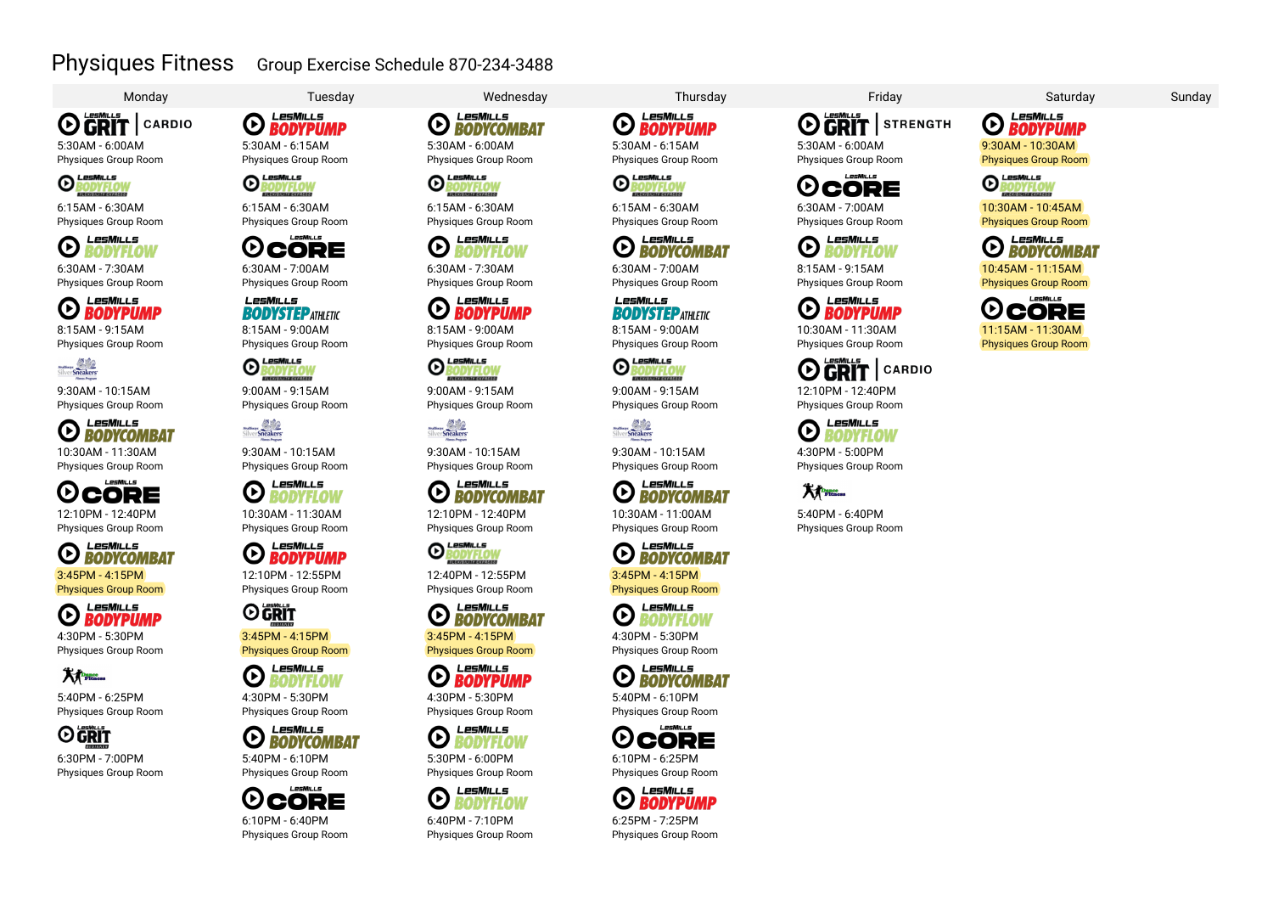### Physiques Fitness Group Exercise Schedule 870-234-3488

# **OGRIT** CARDIO

5:30AM - 6:00AM Physiques Group Room



6:15AM - 6:30AM Physiques Group Room



6:30AM - 7:30AM Physiques Group Room

LesMills  $\Theta$  **BODYPUMP** 8:15AM - 9:15AM Physiques Group Room



9:30AM - 10:15AM Physiques Group Room

LesMills **ED BODYCOMBAT** 10:30AM - 11:30AM

Physiques Group Room  $L$  esMu  $L$  s **OCORE** 12:10PM - 12:40PM

Physiques Group Room

LesMills **O BODYCOMBAT** Physiques Group Room

LesMills *O BODYPUMP* 

4:30PM - 5:30PM Physiques Group Room



5:40PM - 6:25PM Physiques Group Room



6:30PM - 7:00PM Physiques Group Room



5:30AM - 6:15AM Physiques Group Room<br>**O LesMILL5**<br>**O BODYFI OW** 



6:15AM - 6:30AM Physiques Group Room



6:30AM - 7:00AM Physiques Group Room

LesMills **BODYSTEP ATHI FTIC** 8:15AM - 9:00AM Physiques Group Room



9:00AM - 9:15AM Physiques Group Room

Hollyway 1999

9:30AM - 10:15AM Physiques Group Room

LesMiLLs  $\boldsymbol{\Theta}$ **BODYFLOW** 10:30AM - 11:30AM Physiques Group Room

LesMills  $\boldsymbol{\Theta}$ **BODYPUMP** 12:10PM - 12:55PM Physiques Group Room

## **O** GRIT

3:45PM - 4:15PM Physiques Group Room



4:30PM - 5:30PM Physiques Group Room

LesMills **CO BODYCOMBAT** 



**OCORE** 6:10PM - 6:40PM Physiques Group Room

Monday Tuesday Wednesday Thursday Friday Saturday Sunday



Physiques Group Room<br>**O LesMILLS**<br>**O BODYFI OW** 

LesMills

LesMills

**BODYPUMP** 

RODYFLOV

6:15AM - 6:30AM Physiques Group Room

6:30AM - 7:30AM Physiques Group Room

Œ

O

ര

**Hulthum**<br>Silver Sneakers

 $\odot$ 

8:15AM - 9:00AM Physiques Group Room

LesMills

9:00AM - 9:15AM Physiques Group Room

9:30AM - 10:15AM Physiques Group Room

12:10PM - 12:40PM Physiques Group Room

LesMills

**EXPORTED** 

12:40PM - 12:55PM Physiques Group Room

LesMills

LesMills

*O BODYPUMP* 

LesMills

LesMills

30DYFLOI

BODYFLOW

**O BODYCOMBAT** 

Leswills<br>BODYFLOV

3:45PM - 4:15PM Physiques Group Room

4:30PM - 5:30PM Physiques Group Room

5:30PM - 6:00PM Physiques Group Room

 $\bm{\mathsf{G}}$ 

Œ

6:40PM - 7:10PM Physiques Group Room *O BODYPUMP* 5:30AM - 6:15AM

Physiques Group Room<br>**O LesMILLS**<br>**O BODYFIOW BODYFLOV** 

LesMills

6:15AM - 6:30AM Physiques Group Room

#### LesMills **EDDYCOMBAT**

6:30AM - 7:00AM Physiques Group Room

#### $I = SMU I =$ **BODYSTEP ATHI FTIC**

8:15AM - 9:00AM Physiques Group Room

## LesMills

9:00AM - 9:15AM Physiques Group Room



9:30AM - 10:15AM Physiques Group Room

#### LesMills **EXPRESS BODYCOMBAT**

10:30AM - 11:00AM Physiques Group Room

LesMills **O BODYCOMBAT** 3:45PM - 4:15PM Physiques Group Room

LesMills **O** BODYFLOW

4:30PM - 5:30PM Physiques Group Room



Physiques Group Room



Physiques Group Room

#### LesMills  $\boldsymbol{\Theta}$ **BODYPUMP**

6:25PM - 7:25PM Physiques Group Room



5:30AM - 6:00AM Physiques Group Room

LesMiLLs **OCORE** 6:30AM - 7:00AM

Physiques Group Room



8:15AM - 9:15AM Physiques Group Room

#### LesMills **EXPLORE DESCRIPTION**

10:30AM - 11:30AM Physiques Group Room



12:10PM - 12:40PM Physiques Group Room



4:30PM - 5:00PM Physiques Group Room

Physiques Group Room

**XX** 5:40PM - 6:40PM

LesMills **O BODYPUMP** 9:30AM - 10:30AM **Physiques Group Room**<br>**O ROOVELOW** 



10:30AM - 10:45AM Physiques Group Room



10:45AM - 11:15AM Physiques Group Room

⊙ CORE 11:15AM - 11:30AM Physiques Group Room

 $I = MII I =$